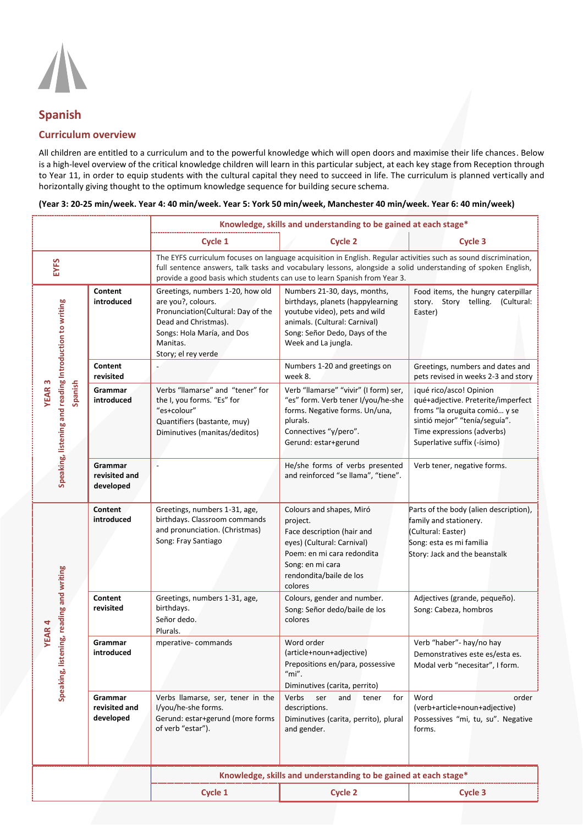

## **Spanish**

## **Curriculum overview**

All children are entitled to a curriculum and to the powerful knowledge which will open doors and maximise their life chances. Below is a high-level overview of the critical knowledge children will learn in this particular subject, at each key stage from Reception through to Year 11, in order to equip students with the cultural capital they need to succeed in life. The curriculum is planned vertically and horizontally giving thought to the optimum knowledge sequence for building secure schema.

|                                                                                    |                                       | Knowledge, skills and understanding to be gained at each stage*                                                                                                                                                                                                                                               |                                                                                                                                                                                             |                                                                                                                                                                                              |  |
|------------------------------------------------------------------------------------|---------------------------------------|---------------------------------------------------------------------------------------------------------------------------------------------------------------------------------------------------------------------------------------------------------------------------------------------------------------|---------------------------------------------------------------------------------------------------------------------------------------------------------------------------------------------|----------------------------------------------------------------------------------------------------------------------------------------------------------------------------------------------|--|
|                                                                                    |                                       | Cycle 1                                                                                                                                                                                                                                                                                                       | <b>Cycle 2</b>                                                                                                                                                                              | Cycle 3                                                                                                                                                                                      |  |
| EYFS                                                                               |                                       | The EYFS curriculum focuses on language acquisition in English. Regular activities such as sound discrimination,<br>full sentence answers, talk tasks and vocabulary lessons, alongside a solid understanding of spoken English,<br>provide a good basis which students can use to learn Spanish from Year 3. |                                                                                                                                                                                             |                                                                                                                                                                                              |  |
| Speaking, listening and reading Introduction to writing<br>Spanish<br><b>YEAR3</b> | Content<br>introduced                 | Greetings, numbers 1-20, how old<br>are you?, colours.<br>Pronunciation(Cultural: Day of the<br>Dead and Christmas).<br>Songs: Hola María, and Dos<br>Manitas.<br>Story; el rey verde                                                                                                                         | Numbers 21-30, days, months,<br>birthdays, planets (happylearning<br>youtube video), pets and wild<br>animals. (Cultural: Carnival)<br>Song: Señor Dedo, Days of the<br>Week and La jungla. | Food items, the hungry caterpillar<br>story. Story telling. (Cultural:<br>Easter)                                                                                                            |  |
|                                                                                    | Content<br>revisited                  |                                                                                                                                                                                                                                                                                                               | Numbers 1-20 and greetings on<br>week 8.                                                                                                                                                    | Greetings, numbers and dates and<br>pets revised in weeks 2-3 and story                                                                                                                      |  |
|                                                                                    | Grammar<br>introduced                 | Verbs "llamarse" and "tener" for<br>the I, you forms. "Es" for<br>"es+colour"<br>Quantifiers (bastante, muy)<br>Diminutives (manitas/deditos)                                                                                                                                                                 | Verb "llamarse" "vivir" (I form) ser,<br>"es" form. Verb tener I/you/he-she<br>forms. Negative forms. Un/una,<br>plurals.<br>Connectives "y/pero".<br>Gerund: estar+gerund                  | jqué rico/asco! Opinion<br>qué+adjective. Preterite/imperfect<br>froms "la oruguita comió y se<br>sintió mejor" "tenía/seguía".<br>Time expressions (adverbs)<br>Superlative suffix (-ísimo) |  |
|                                                                                    | Grammar<br>revisited and<br>developed | ÷,                                                                                                                                                                                                                                                                                                            | He/she forms of verbs presented<br>and reinforced "se llama", "tiene".                                                                                                                      | Verb tener, negative forms.                                                                                                                                                                  |  |
| Speaking, listening, reading and writing<br><b>YEAR4</b>                           | Content<br>introduced                 | Greetings, numbers 1-31, age,<br>birthdays. Classroom commands<br>and pronunciation. (Christmas)<br>Song: Fray Santiago                                                                                                                                                                                       | Colours and shapes, Miró<br>project.<br>Face description (hair and<br>eyes) (Cultural: Carnival)<br>Poem: en mi cara redondita<br>Song: en mi cara<br>rendondita/baile de los<br>colores    | Parts of the body (alien description),<br>family and stationery.<br>(Cultural: Easter)<br>Song: esta es mi familia<br>Story: Jack and the beanstalk                                          |  |
|                                                                                    | Content<br>revisited                  | Greetings, numbers 1-31, age,<br>birthdays.<br>Señor dedo.<br>Plurals.                                                                                                                                                                                                                                        | Colours, gender and number.<br>Song: Señor dedo/baile de los<br>colores                                                                                                                     | Adjectives (grande, pequeño).<br>Song: Cabeza, hombros                                                                                                                                       |  |
|                                                                                    | Grammar<br>introduced                 | mperative-commands                                                                                                                                                                                                                                                                                            | Word order<br>(article+noun+adjective)<br>Prepositions en/para, possessive<br>$m''$ .<br>Diminutives (carita, perrito)                                                                      | Verb "haber"- hay/no hay<br>Demonstratives este es/esta es.<br>Modal verb "necesitar", I form.                                                                                               |  |
|                                                                                    | Grammar<br>revisited and<br>developed | Verbs llamarse, ser, tener in the<br>I/vou/he-she forms.<br>Gerund: estar+gerund (more forms<br>of verb "estar").                                                                                                                                                                                             | Verbs<br>ser<br>for<br>and<br>tener<br>descriptions.<br>Diminutives (carita, perrito), plural<br>and gender.                                                                                | Word<br>order<br>(verb+article+noun+adjective)<br>Possessives "mi, tu, su". Negative<br>forms.                                                                                               |  |
|                                                                                    |                                       | Knowledge, skills and understanding to be gained at each stage*                                                                                                                                                                                                                                               |                                                                                                                                                                                             |                                                                                                                                                                                              |  |
|                                                                                    |                                       | Cycle 1                                                                                                                                                                                                                                                                                                       | <b>Cycle 2</b>                                                                                                                                                                              | <b>Cycle 3</b>                                                                                                                                                                               |  |